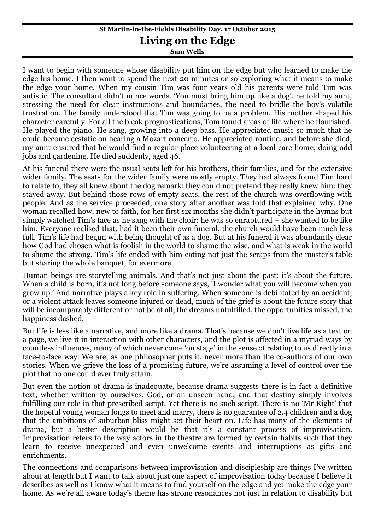## **St Martin-in-the-Fields Disability Day, 17 October 2015 Living on the Edge Sam Wells**

I want to begin with someone whose disability put him on the edge but who learned to make the edge his home. I then want to spend the next 20 minutes or so exploring what it means to make the edge your home. When my cousin Tim was four years old his parents were told Tim was autistic. The consultant didn't mince words. 'You must bring him up like a dog', he told my aunt, stressing the need for clear instructions and boundaries, the need to bridle the boy's volatile frustration. The family understood that Tim was going to be a problem. His mother shaped his character carefully. For all the bleak prognostications, Tom found areas of life where he flourished. He played the piano. He sang, growing into a deep bass. He appreciated music so much that he could become ecstatic on hearing a Mozart concerto. He appreciated routine, and before she died, my aunt ensured that he would find a regular place volunteering at a local care home, doing odd jobs and gardening. He died suddenly, aged 46.

At his funeral there were the usual seats left for his brothers, their families, and for the extensive wider family. The seats for the wider family were mostly empty. They had always found Tim hard to relate to; they all knew about the dog remark; they could not pretend they really knew him: they stayed away. But behind those rows of empty seats, the rest of the church was overflowing with people. And as the service proceeded, one story after another was told that explained why. One woman recalled how, new to faith, for her first six months she didn't participate in the hymns but simply watched Tim's face as he sang with the choir: he was so enraptured – she wanted to be like him. Everyone realised that, had it been their own funeral, the church would have been much less full. Tim's life had begun with being thought of as a dog. But at his funeral it was abundantly clear how God had chosen what is foolish in the world to shame the wise, and what is weak in the world to shame the strong. Tim's life ended with him eating not just the scraps from the master's table but sharing the whole banquet, for evermore.

Human beings are storytelling animals. And that's not just about the past: it's about the future. When a child is born, it's not long before someone says, 'I wonder what you will become when you grow up.' And narrative plays a key role in suffering. When someone is debilitated by an accident, or a violent attack leaves someone injured or dead, much of the grief is about the future story that will be incomparably different or not be at all, the dreams unfulfilled, the opportunities missed, the happiness dashed.

But life is less like a narrative, and more like a drama. That's because we don't live life as a text on a page, we live it in interaction with other characters, and the plot is affected in a myriad ways by countless influences, many of which never come 'on stage' in the sense of relating to us directly in a face-to-face way. We are, as one philosopher puts it, never more than the co-authors of our own stories. When we grieve the loss of a promising future, we're assuming a level of control over the plot that no one could ever truly attain.

But even the notion of drama is inadequate, because drama suggests there is in fact a definitive text, whether written by ourselves, God, or an unseen hand, and that destiny simply involves fulfilling our role in that prescribed script. Yet there is no such script. There is no 'Mr Right' that the hopeful young woman longs to meet and marry, there is no guarantee of 2.4 children and a dog that the ambitions of suburban bliss might set their heart on. Life has many of the elements of drama, but a better description would be that it's a constant process of improvisation. Improvisation refers to the way actors in the theatre are formed by certain habits such that they learn to receive unexpected and even unwelcome events and interruptions as gifts and enrichments.

The connections and comparisons between improvisation and discipleship are things I've written about at length but I want to talk about just one aspect of improvisation today because I believe it describes as well as I know what it means to find yourself on the edge and yet make the edge your home. As we're all aware today's theme has strong resonances not just in relation to disability but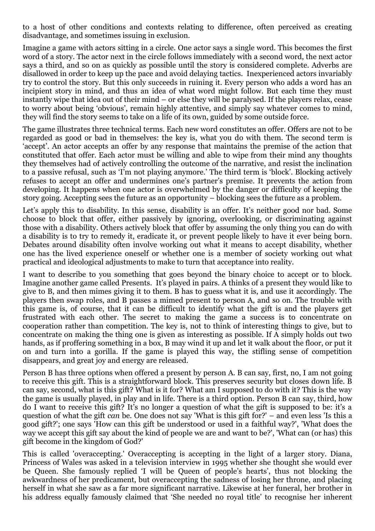to a host of other conditions and contexts relating to difference, often perceived as creating disadvantage, and sometimes issuing in exclusion.

Imagine a game with actors sitting in a circle. One actor says a single word. This becomes the first word of a story. The actor next in the circle follows immediately with a second word, the next actor says a third, and so on as quickly as possible until the story is considered complete. Adverbs are disallowed in order to keep up the pace and avoid delaying tactics. Inexperienced actors invariably try to control the story. But this only succeeds in ruining it. Every person who adds a word has an incipient story in mind, and thus an idea of what word might follow. But each time they must instantly wipe that idea out of their mind – or else they will be paralysed. If the players relax, cease to worry about being 'obvious', remain highly attentive, and simply say whatever comes to mind, they will find the story seems to take on a life of its own, guided by some outside force.

The game illustrates three technical terms. Each new word constitutes an offer. Offers are not to be regarded as good or bad in themselves: the key is, what you do with them. The second term is 'accept'. An actor accepts an offer by any response that maintains the premise of the action that constituted that offer. Each actor must be willing and able to wipe from their mind any thoughts they themselves had of actively controlling the outcome of the narrative, and resist the inclination to a passive refusal, such as 'I'm not playing anymore.' The third term is 'block'. Blocking actively refuses to accept an offer and undermines one's partner's premise. It prevents the action from developing. It happens when one actor is overwhelmed by the danger or difficulty of keeping the story going. Accepting sees the future as an opportunity – blocking sees the future as a problem.

Let's apply this to disability. In this sense, disability is an offer. It's neither good nor bad. Some choose to block that offer, either passively by ignoring, overlooking, or discriminating against those with a disability. Others actively block that offer by assuming the only thing you can do with a disability is to try to remedy it, eradicate it, or prevent people likely to have it ever being born. Debates around disability often involve working out what it means to accept disability, whether one has the lived experience oneself or whether one is a member of society working out what practical and ideological adjustments to make to turn that acceptance into reality.

I want to describe to you something that goes beyond the binary choice to accept or to block. Imagine another game called Presents. It's played in pairs. A thinks of a present they would like to give to B, and then mimes giving it to them. B has to guess what it is, and use it accordingly. The players then swap roles, and B passes a mimed present to person A, and so on. The trouble with this game is, of course, that it can be difficult to identify what the gift is and the players get frustrated with each other. The secret to making the game a success is to concentrate on cooperation rather than competition. The key is, not to think of interesting things to give, but to concentrate on making the thing one is given as interesting as possible. If A simply holds out two hands, as if proffering something in a box, B may wind it up and let it walk about the floor, or put it on and turn into a gorilla. If the game is played this way, the stifling sense of competition disappears, and great joy and energy are released.

Person B has three options when offered a present by person A. B can say, first, no, I am not going to receive this gift. This is a straightforward block. This preserves security but closes down life. B can say, second, what is this gift? What is it for? What am I supposed to do with it? This is the way the game is usually played, in play and in life. There is a third option. Person B can say, third, how do I want to receive this gift? It's no longer a question of what the gift is supposed to be: it's a question of what the gift *can* be. One does not say 'What is this gift for?' – and even less 'Is this a good gift?'; one says 'How can this gift be understood or used in a faithful way?', 'What does the way we accept this gift say about the kind of people we are and want to be?', 'What can (or has) this gift become in the kingdom of God?'

This is called 'overaccepting.' Overaccepting is accepting in the light of a larger story. Diana, Princess of Wales was asked in a television interview in 1995 whether she thought she would ever be Queen. She famously replied 'I will be Queen of people's hearts', thus not blocking the awkwardness of her predicament, but overaccepting the sadness of losing her throne, and placing herself in what she saw as a far more significant narrative. Likewise at her funeral, her brother in his address equally famously claimed that 'She needed no royal title' to recognise her inherent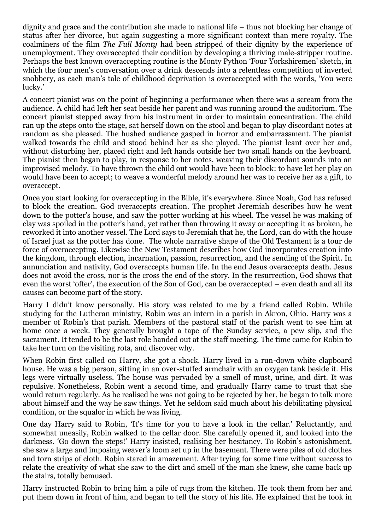dignity and grace and the contribution she made to national life – thus not blocking her change of status after her divorce, but again suggesting a more significant context than mere royalty. The coalminers of the film *The Full Monty* had been stripped of their dignity by the experience of unemployment. They overaccepted their condition by developing a thriving male-stripper routine. Perhaps the best known overaccepting routine is the Monty Python 'Four Yorkshiremen' sketch, in which the four men's conversation over a drink descends into a relentless competition of inverted snobbery, as each man's tale of childhood deprivation is overaccepted with the words, 'You were lucky.'

A concert pianist was on the point of beginning a performance when there was a scream from the audience. A child had left her seat beside her parent and was running around the auditorium. The concert pianist stepped away from his instrument in order to maintain concentration. The child ran up the steps onto the stage, sat herself down on the stool and began to play discordant notes at random as she pleased. The hushed audience gasped in horror and embarrassment. The pianist walked towards the child and stood behind her as she played. The pianist leant over her and, without disturbing her, placed right and left hands outside her two small hands on the keyboard. The pianist then began to play, in response to her notes, weaving their discordant sounds into an improvised melody. To have thrown the child out would have been to block: to have let her play on would have been to accept; to weave a wonderful melody around her was to receive her as a gift, to overaccept.

Once you start looking for overaccepting in the Bible, it's everywhere. Since Noah, God has refused to block the creation. God overaccepts creation. The prophet Jeremiah describes how he went down to the potter's house, and saw the potter working at his wheel. The vessel he was making of clay was spoiled in the potter's hand, yet rather than throwing it away or accepting it as broken, he reworked it into another vessel. The Lord says to Jeremiah that he, the Lord, can do with the house of Israel just as the potter has done. The whole narrative shape of the Old Testament is a tour de force of overaccepting. Likewise the New Testament describes how God incorporates creation into the kingdom, through election, incarnation, passion, resurrection, and the sending of the Spirit. In annunciation and nativity, God overaccepts human life. In the end Jesus overaccepts death. Jesus does not avoid the cross, nor is the cross the end of the story. In the resurrection, God shows that even the worst 'offer', the execution of the Son of God, can be overaccepted – even death and all its causes can become part of the story.

Harry I didn't know personally. His story was related to me by a friend called Robin. While studying for the Lutheran ministry, Robin was an intern in a parish in Akron, Ohio. Harry was a member of Robin's that parish. Members of the pastoral staff of the parish went to see him at home once a week. They generally brought a tape of the Sunday service, a pew slip, and the sacrament. It tended to be the last role handed out at the staff meeting. The time came for Robin to take her turn on the visiting rota, and discover why.

When Robin first called on Harry, she got a shock. Harry lived in a run-down white clapboard house. He was a big person, sitting in an over-stuffed armchair with an oxygen tank beside it. His legs were virtually useless. The house was pervaded by a smell of must, urine, and dirt. It was repulsive. Nonetheless, Robin went a second time, and gradually Harry came to trust that she would return regularly. As he realised he was not going to be rejected by her, he began to talk more about himself and the way he saw things. Yet he seldom said much about his debilitating physical condition, or the squalor in which he was living.

One day Harry said to Robin, 'It's time for you to have a look in the cellar.' Reluctantly, and somewhat uneasily, Robin walked to the cellar door. She carefully opened it, and looked into the darkness. 'Go down the steps!' Harry insisted, realising her hesitancy. To Robin's astonishment, she saw a large and imposing weaver's loom set up in the basement. There were piles of old clothes and torn strips of cloth. Robin stared in amazement. After trying for some time without success to relate the creativity of what she saw to the dirt and smell of the man she knew, she came back up the stairs, totally bemused.

Harry instructed Robin to bring him a pile of rugs from the kitchen. He took them from her and put them down in front of him, and began to tell the story of his life. He explained that he took in